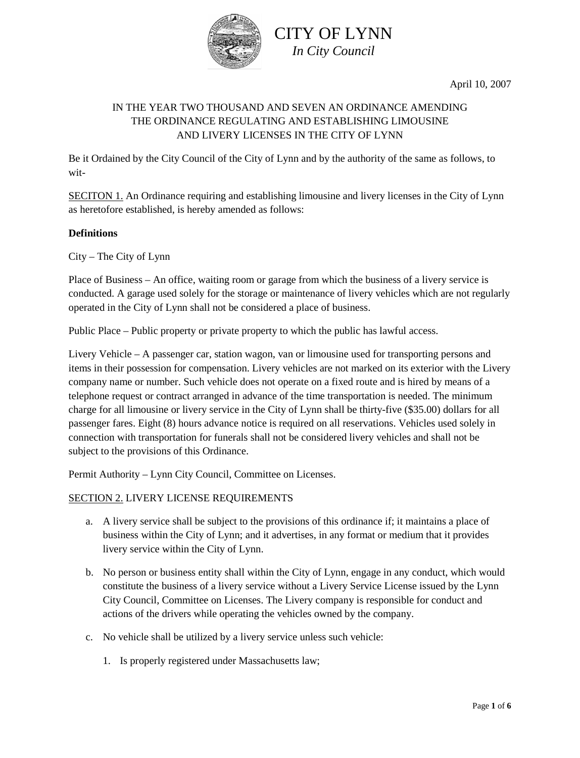

April 10, 2007

## IN THE YEAR TWO THOUSAND AND SEVEN AN ORDINANCE AMENDING THE ORDINANCE REGULATING AND ESTABLISHING LIMOUSINE AND LIVERY LICENSES IN THE CITY OF LYNN

CITY OF LYNN *In City Council*

Be it Ordained by the City Council of the City of Lynn and by the authority of the same as follows, to wit-

SECITON 1. An Ordinance requiring and establishing limousine and livery licenses in the City of Lynn as heretofore established, is hereby amended as follows:

#### **Definitions**

City – The City of Lynn

Place of Business – An office, waiting room or garage from which the business of a livery service is conducted. A garage used solely for the storage or maintenance of livery vehicles which are not regularly operated in the City of Lynn shall not be considered a place of business.

Public Place – Public property or private property to which the public has lawful access.

Livery Vehicle – A passenger car, station wagon, van or limousine used for transporting persons and items in their possession for compensation. Livery vehicles are not marked on its exterior with the Livery company name or number. Such vehicle does not operate on a fixed route and is hired by means of a telephone request or contract arranged in advance of the time transportation is needed. The minimum charge for all limousine or livery service in the City of Lynn shall be thirty-five (\$35.00) dollars for all passenger fares. Eight (8) hours advance notice is required on all reservations. Vehicles used solely in connection with transportation for funerals shall not be considered livery vehicles and shall not be subject to the provisions of this Ordinance.

Permit Authority – Lynn City Council, Committee on Licenses.

#### SECTION 2. LIVERY LICENSE REQUIREMENTS

- a. A livery service shall be subject to the provisions of this ordinance if; it maintains a place of business within the City of Lynn; and it advertises, in any format or medium that it provides livery service within the City of Lynn.
- b. No person or business entity shall within the City of Lynn, engage in any conduct, which would constitute the business of a livery service without a Livery Service License issued by the Lynn City Council, Committee on Licenses. The Livery company is responsible for conduct and actions of the drivers while operating the vehicles owned by the company.
- c. No vehicle shall be utilized by a livery service unless such vehicle:
	- 1. Is properly registered under Massachusetts law;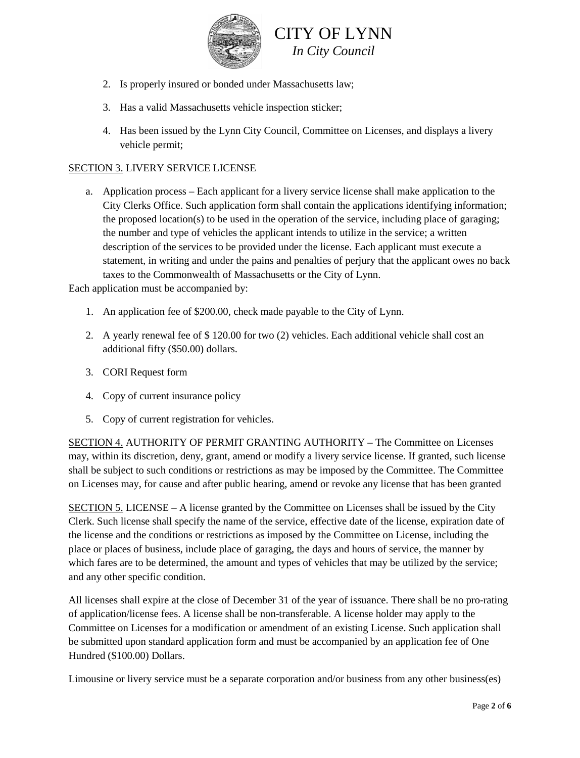

- 2. Is properly insured or bonded under Massachusetts law;
- 3. Has a valid Massachusetts vehicle inspection sticker;
- 4. Has been issued by the Lynn City Council, Committee on Licenses, and displays a livery vehicle permit;

#### SECTION 3. LIVERY SERVICE LICENSE

a. Application process – Each applicant for a livery service license shall make application to the City Clerks Office. Such application form shall contain the applications identifying information; the proposed location(s) to be used in the operation of the service, including place of garaging; the number and type of vehicles the applicant intends to utilize in the service; a written description of the services to be provided under the license. Each applicant must execute a statement, in writing and under the pains and penalties of perjury that the applicant owes no back taxes to the Commonwealth of Massachusetts or the City of Lynn.

Each application must be accompanied by:

- 1. An application fee of \$200.00, check made payable to the City of Lynn.
- 2. A yearly renewal fee of \$ 120.00 for two (2) vehicles. Each additional vehicle shall cost an additional fifty (\$50.00) dollars.
- 3. CORI Request form
- 4. Copy of current insurance policy
- 5. Copy of current registration for vehicles.

SECTION 4. AUTHORITY OF PERMIT GRANTING AUTHORITY – The Committee on Licenses may, within its discretion, deny, grant, amend or modify a livery service license. If granted, such license shall be subject to such conditions or restrictions as may be imposed by the Committee. The Committee on Licenses may, for cause and after public hearing, amend or revoke any license that has been granted

SECTION 5. LICENSE – A license granted by the Committee on Licenses shall be issued by the City Clerk. Such license shall specify the name of the service, effective date of the license, expiration date of the license and the conditions or restrictions as imposed by the Committee on License, including the place or places of business, include place of garaging, the days and hours of service, the manner by which fares are to be determined, the amount and types of vehicles that may be utilized by the service; and any other specific condition.

All licenses shall expire at the close of December 31 of the year of issuance. There shall be no pro-rating of application/license fees. A license shall be non-transferable. A license holder may apply to the Committee on Licenses for a modification or amendment of an existing License. Such application shall be submitted upon standard application form and must be accompanied by an application fee of One Hundred (\$100.00) Dollars.

Limousine or livery service must be a separate corporation and/or business from any other business(es)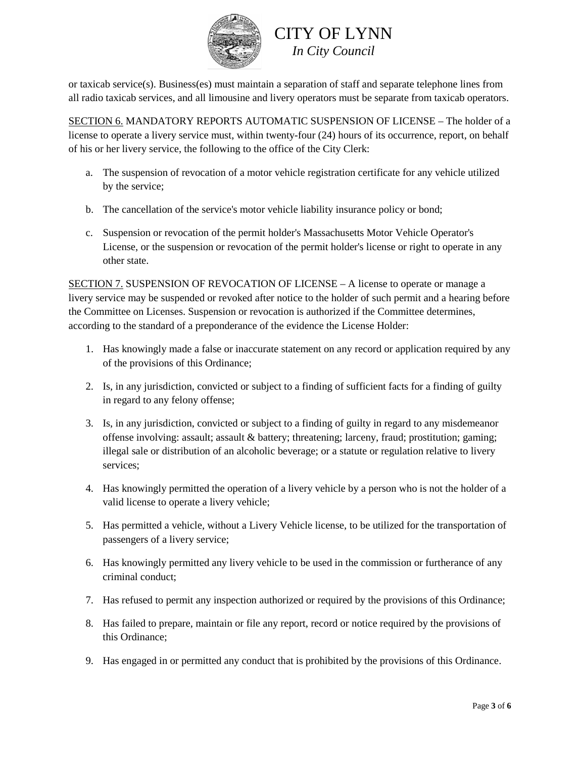

or taxicab service(s). Business(es) must maintain a separation of staff and separate telephone lines from all radio taxicab services, and all limousine and livery operators must be separate from taxicab operators.

SECTION 6. MANDATORY REPORTS AUTOMATIC SUSPENSION OF LICENSE – The holder of a license to operate a livery service must, within twenty-four (24) hours of its occurrence, report, on behalf of his or her livery service, the following to the office of the City Clerk:

- a. The suspension of revocation of a motor vehicle registration certificate for any vehicle utilized by the service;
- b. The cancellation of the service's motor vehicle liability insurance policy or bond;
- c. Suspension or revocation of the permit holder's Massachusetts Motor Vehicle Operator's License, or the suspension or revocation of the permit holder's license or right to operate in any other state.

SECTION 7. SUSPENSION OF REVOCATION OF LICENSE – A license to operate or manage a livery service may be suspended or revoked after notice to the holder of such permit and a hearing before the Committee on Licenses. Suspension or revocation is authorized if the Committee determines, according to the standard of a preponderance of the evidence the License Holder:

- 1. Has knowingly made a false or inaccurate statement on any record or application required by any of the provisions of this Ordinance;
- 2. Is, in any jurisdiction, convicted or subject to a finding of sufficient facts for a finding of guilty in regard to any felony offense;
- 3. Is, in any jurisdiction, convicted or subject to a finding of guilty in regard to any misdemeanor offense involving: assault; assault & battery; threatening; larceny, fraud; prostitution; gaming; illegal sale or distribution of an alcoholic beverage; or a statute or regulation relative to livery services;
- 4. Has knowingly permitted the operation of a livery vehicle by a person who is not the holder of a valid license to operate a livery vehicle;
- 5. Has permitted a vehicle, without a Livery Vehicle license, to be utilized for the transportation of passengers of a livery service;
- 6. Has knowingly permitted any livery vehicle to be used in the commission or furtherance of any criminal conduct;
- 7. Has refused to permit any inspection authorized or required by the provisions of this Ordinance;
- 8. Has failed to prepare, maintain or file any report, record or notice required by the provisions of this Ordinance;
- 9. Has engaged in or permitted any conduct that is prohibited by the provisions of this Ordinance.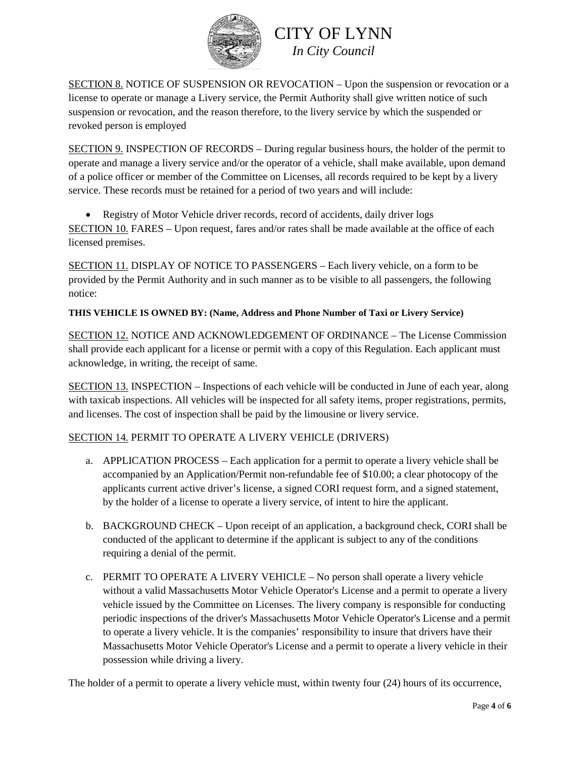

SECTION 8. NOTICE OF SUSPENSION OR REVOCATION – Upon the suspension or revocation or a license to operate or manage a Livery service, the Permit Authority shall give written notice of such suspension or revocation, and the reason therefore, to the livery service by which the suspended or revoked person is employed

SECTION 9. INSPECTION OF RECORDS – During regular business hours, the holder of the permit to operate and manage a livery service and/or the operator of a vehicle, shall make available, upon demand of a police officer or member of the Committee on Licenses, all records required to be kept by a livery service. These records must be retained for a period of two years and will include:

• Registry of Motor Vehicle driver records, record of accidents, daily driver logs SECTION 10. FARES – Upon request, fares and/or rates shall be made available at the office of each licensed premises.

SECTION 11. DISPLAY OF NOTICE TO PASSENGERS – Each livery vehicle, on a form to be provided by the Permit Authority and in such manner as to be visible to all passengers, the following notice:

### **THIS VEHICLE IS OWNED BY: (Name, Address and Phone Number of Taxi or Livery Service)**

SECTION 12. NOTICE AND ACKNOWLEDGEMENT OF ORDINANCE – The License Commission shall provide each applicant for a license or permit with a copy of this Regulation. Each applicant must acknowledge, in writing, the receipt of same.

SECTION 13. INSPECTION – Inspections of each vehicle will be conducted in June of each year, along with taxicab inspections. All vehicles will be inspected for all safety items, proper registrations, permits, and licenses. The cost of inspection shall be paid by the limousine or livery service.

### SECTION 14. PERMIT TO OPERATE A LIVERY VEHICLE (DRIVERS)

- a. APPLICATION PROCESS Each application for a permit to operate a livery vehicle shall be accompanied by an Application/Permit non-refundable fee of \$10.00; a clear photocopy of the applicants current active driver's license, a signed CORI request form, and a signed statement, by the holder of a license to operate a livery service, of intent to hire the applicant.
- b. BACKGROUND CHECK Upon receipt of an application, a background check, CORI shall be conducted of the applicant to determine if the applicant is subject to any of the conditions requiring a denial of the permit.
- c. PERMIT TO OPERATE A LIVERY VEHICLE No person shall operate a livery vehicle without a valid Massachusetts Motor Vehicle Operator's License and a permit to operate a livery vehicle issued by the Committee on Licenses. The livery company is responsible for conducting periodic inspections of the driver's Massachusetts Motor Vehicle Operator's License and a permit to operate a livery vehicle. It is the companies' responsibility to insure that drivers have their Massachusetts Motor Vehicle Operator's License and a permit to operate a livery vehicle in their possession while driving a livery.

The holder of a permit to operate a livery vehicle must, within twenty four (24) hours of its occurrence,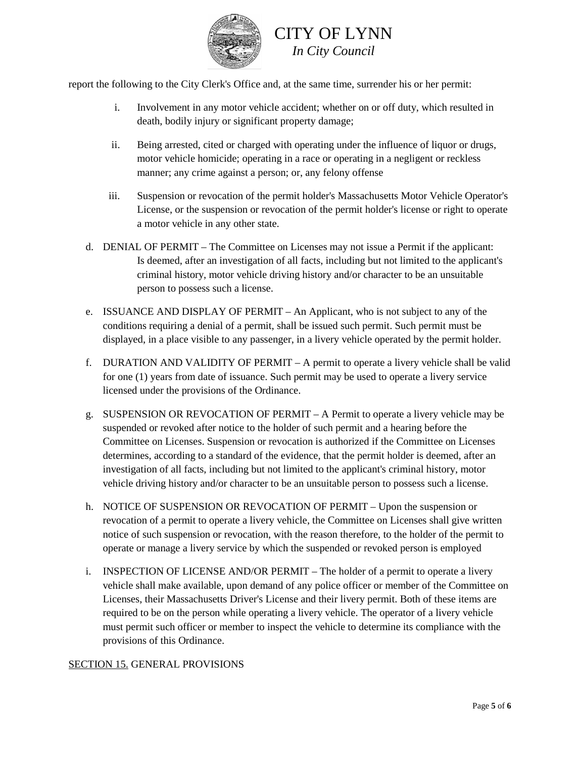

report the following to the City Clerk's Office and, at the same time, surrender his or her permit:

- i. Involvement in any motor vehicle accident; whether on or off duty, which resulted in death, bodily injury or significant property damage;
- ii. Being arrested, cited or charged with operating under the influence of liquor or drugs, motor vehicle homicide; operating in a race or operating in a negligent or reckless manner; any crime against a person; or, any felony offense
- iii. Suspension or revocation of the permit holder's Massachusetts Motor Vehicle Operator's License, or the suspension or revocation of the permit holder's license or right to operate a motor vehicle in any other state.
- d. DENIAL OF PERMIT The Committee on Licenses may not issue a Permit if the applicant: Is deemed, after an investigation of all facts, including but not limited to the applicant's criminal history, motor vehicle driving history and/or character to be an unsuitable person to possess such a license.
- e. ISSUANCE AND DISPLAY OF PERMIT An Applicant, who is not subject to any of the conditions requiring a denial of a permit, shall be issued such permit. Such permit must be displayed, in a place visible to any passenger, in a livery vehicle operated by the permit holder.
- f. DURATION AND VALIDITY OF PERMIT A permit to operate a livery vehicle shall be valid for one (1) years from date of issuance. Such permit may be used to operate a livery service licensed under the provisions of the Ordinance.
- g. SUSPENSION OR REVOCATION OF PERMIT A Permit to operate a livery vehicle may be suspended or revoked after notice to the holder of such permit and a hearing before the Committee on Licenses. Suspension or revocation is authorized if the Committee on Licenses determines, according to a standard of the evidence, that the permit holder is deemed, after an investigation of all facts, including but not limited to the applicant's criminal history, motor vehicle driving history and/or character to be an unsuitable person to possess such a license.
- h. NOTICE OF SUSPENSION OR REVOCATION OF PERMIT Upon the suspension or revocation of a permit to operate a livery vehicle, the Committee on Licenses shall give written notice of such suspension or revocation, with the reason therefore, to the holder of the permit to operate or manage a livery service by which the suspended or revoked person is employed
- i. INSPECTION OF LICENSE AND/OR PERMIT The holder of a permit to operate a livery vehicle shall make available, upon demand of any police officer or member of the Committee on Licenses, their Massachusetts Driver's License and their livery permit. Both of these items are required to be on the person while operating a livery vehicle. The operator of a livery vehicle must permit such officer or member to inspect the vehicle to determine its compliance with the provisions of this Ordinance.

#### SECTION 15. GENERAL PROVISIONS